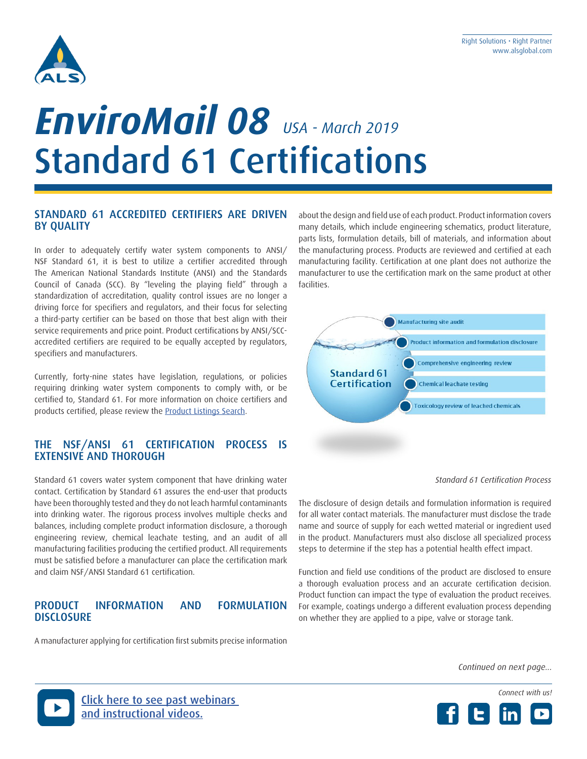

# Standard 61 Certifications *EnviroMail 08 USA - March 2019*

#### STANDARD 61 ACCREDITED CERTIFIERS ARE DRIVEN BY QUALITY

In order to adequately certify water system components to ANSI/ NSF Standard 61, it is best to utilize a certifier accredited through The American National Standards Institute (ANSI) and the Standards Council of Canada (SCC). By "leveling the playing field" through a standardization of accreditation, quality control issues are no longer a driving force for specifiers and regulators, and their focus for selecting a third-party certifier can be based on those that best align with their service requirements and price point. Product certifications by ANSI/SCCaccredited certifiers are required to be equally accepted by regulators, specifiers and manufacturers.

Currently, forty-nine states have legislation, regulations, or policies requiring drinking water system components to comply with, or be certified to, Standard 61. For more information on choice certifiers and products certified, please review the Product Listings Search.

### THE NSF/ANSI 61 CERTIFICATION PROCESS IS EXTENSIVE AND THOROUGH

Standard 61 covers water system component that have drinking water contact. Certification by Standard 61 assures the end-user that products have been thoroughly tested and they do not leach harmful contaminants into drinking water. The rigorous process involves multiple checks and balances, including complete product information disclosure, a thorough engineering review, chemical leachate testing, and an audit of all manufacturing facilities producing the certified product. All requirements must be satisfied before a manufacturer can place the certification mark and claim NSF/ANSI Standard 61 certification.

#### PRODUCT INFORMATION AND FORMULATION **DISCLOSURE**

A manufacturer applying for certification first submits precise information

about the design and field use of each product. Product information covers many details, which include engineering schematics, product literature, parts lists, formulation details, bill of materials, and information about the manufacturing process. Products are reviewed and certified at each manufacturing facility. Certification at one plant does not authorize the manufacturer to use the certification mark on the same product at other facilities.



#### *Standard 61 Certification Process*

The disclosure of design details and formulation information is required for all water contact materials. The manufacturer must disclose the trade name and source of supply for each wetted material or ingredient used in the product. Manufacturers must also disclose all specialized process steps to determine if the step has a potential health effect impact.

Function and field use conditions of the product are disclosed to ensure a thorough evaluation process and an accurate certification decision. Product function can impact the type of evaluation the product receives. For example, coatings undergo a different evaluation process depending on whether they are applied to a pipe, valve or storage tank.

*Continued on next page...*



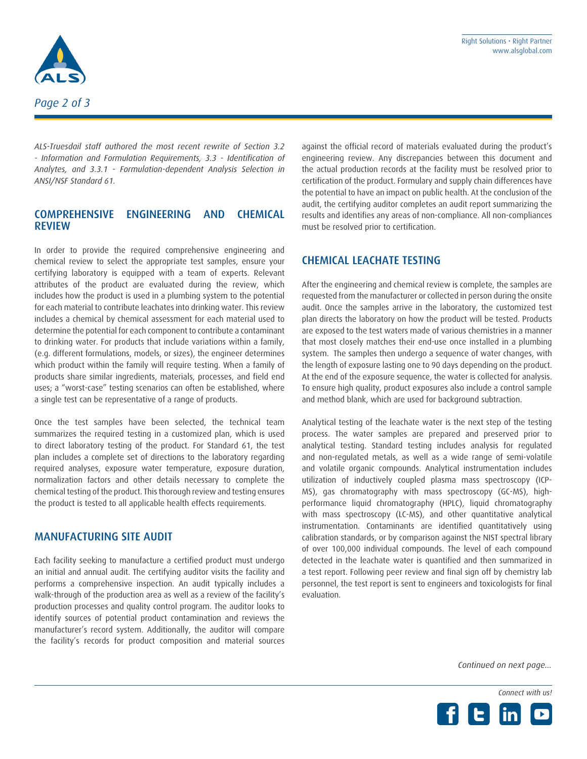

*ALS-Truesdail staff authored the most recent rewrite of Section 3.2 - Information and Formulation Requirements, 3.3 - Identification of Analytes, and 3.3.1 - Formulation-dependent Analysis Selection in ANSI/NSF Standard 61.*

### COMPREHENSIVE ENGINEERING AND CHEMICAL REVIEW

In order to provide the required comprehensive engineering and chemical review to select the appropriate test samples, ensure your certifying laboratory is equipped with a team of experts. Relevant attributes of the product are evaluated during the review, which includes how the product is used in a plumbing system to the potential for each material to contribute leachates into drinking water. This review includes a chemical by chemical assessment for each material used to determine the potential for each component to contribute a contaminant to drinking water. For products that include variations within a family, (e.g. different formulations, models, or sizes), the engineer determines which product within the family will require testing. When a family of products share similar ingredients, materials, processes, and field end uses; a "worst-case" testing scenarios can often be established, where a single test can be representative of a range of products.

Once the test samples have been selected, the technical team summarizes the required testing in a customized plan, which is used to direct laboratory testing of the product. For Standard 61, the test plan includes a complete set of directions to the laboratory regarding required analyses, exposure water temperature, exposure duration, normalization factors and other details necessary to complete the chemical testing of the product. This thorough review and testing ensures the product is tested to all applicable health effects requirements.

#### MANUFACTURING SITE AUDIT

Each facility seeking to manufacture a certified product must undergo an initial and annual audit. The certifying auditor visits the facility and performs a comprehensive inspection. An audit typically includes a walk-through of the production area as well as a review of the facility's production processes and quality control program. The auditor looks to identify sources of potential product contamination and reviews the manufacturer's record system. Additionally, the auditor will compare the facility's records for product composition and material sources against the official record of materials evaluated during the product's engineering review. Any discrepancies between this document and the actual production records at the facility must be resolved prior to certification of the product. Formulary and supply chain differences have the potential to have an impact on public health. At the conclusion of the audit, the certifying auditor completes an audit report summarizing the results and identifies any areas of non-compliance. All non-compliances must be resolved prior to certification.

### CHEMICAL LEACHATE TESTING

After the engineering and chemical review is complete, the samples are requested from the manufacturer or collected in person during the onsite audit. Once the samples arrive in the laboratory, the customized test plan directs the laboratory on how the product will be tested. Products are exposed to the test waters made of various chemistries in a manner that most closely matches their end-use once installed in a plumbing system. The samples then undergo a sequence of water changes, with the length of exposure lasting one to 90 days depending on the product. At the end of the exposure sequence, the water is collected for analysis. To ensure high quality, product exposures also include a control sample and method blank, which are used for background subtraction.

Analytical testing of the leachate water is the next step of the testing process. The water samples are prepared and preserved prior to analytical testing. Standard testing includes analysis for regulated and non-regulated metals, as well as a wide range of semi-volatile and volatile organic compounds. Analytical instrumentation includes utilization of inductively coupled plasma mass spectroscopy (ICP-MS), gas chromatography with mass spectroscopy (GC-MS), highperformance liquid chromatography (HPLC), liquid chromatography with mass spectroscopy (LC-MS), and other quantitative analytical instrumentation. Contaminants are identified quantitatively using calibration standards, or by comparison against the NIST spectral library of over 100,000 individual compounds. The level of each compound detected in the leachate water is quantified and then summarized in a test report. Following peer review and final sign off by chemistry lab personnel, the test report is sent to engineers and toxicologists for final evaluation.

*Continued on next page...*